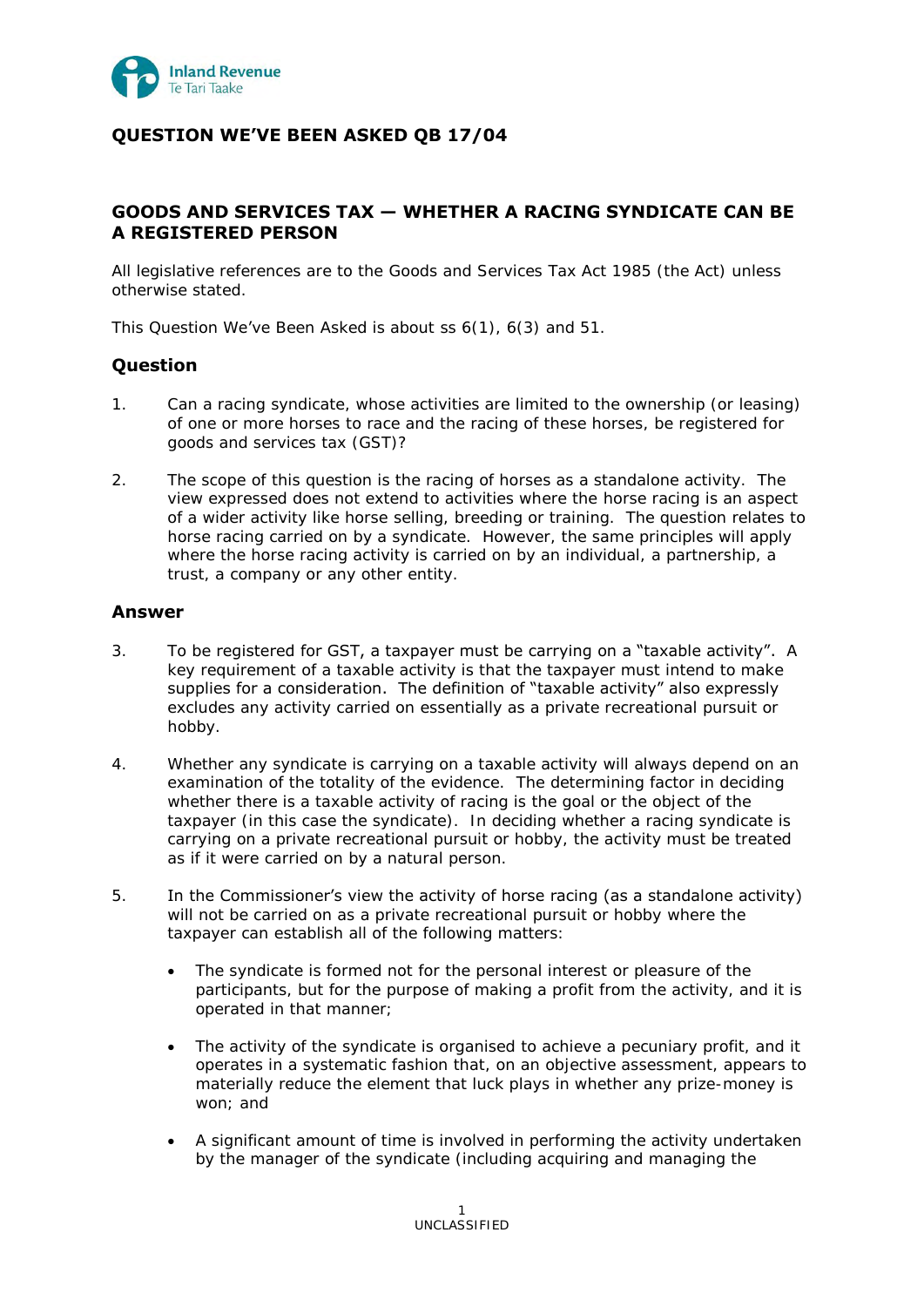

# **QUESTION WE'VE BEEN ASKED QB 17/04**

## **GOODS AND SERVICES TAX — WHETHER A RACING SYNDICATE CAN BE A REGISTERED PERSON**

All legislative references are to the Goods and Services Tax Act 1985 (the Act) unless otherwise stated.

This Question We've Been Asked is about ss 6(1), 6(3) and 51.

## **Question**

- 1. Can a racing syndicate, whose activities are limited to the ownership (or leasing) of one or more horses to race and the racing of these horses, be registered for goods and services tax (GST)?
- 2. The scope of this question is the racing of horses as a standalone activity. The view expressed does not extend to activities where the horse racing is an aspect of a wider activity like horse selling, breeding or training. The question relates to horse racing carried on by a syndicate. However, the same principles will apply where the horse racing activity is carried on by an individual, a partnership, a trust, a company or any other entity.

## **Answer**

- 3. To be registered for GST, a taxpayer must be carrying on a "taxable activity". A key requirement of a taxable activity is that the taxpayer must intend to make supplies for a consideration. The definition of "taxable activity" also expressly excludes any activity carried on essentially as a private recreational pursuit or hobby.
- 4. Whether any syndicate is carrying on a taxable activity will always depend on an examination of the totality of the evidence. The determining factor in deciding whether there is a taxable activity of racing is the goal or the object of the taxpayer (in this case the syndicate). In deciding whether a racing syndicate is carrying on a private recreational pursuit or hobby, the activity must be treated as if it were carried on by a natural person.
- 5. In the Commissioner's view the activity of horse racing (as a standalone activity) will not be carried on as a private recreational pursuit or hobby where the taxpayer can establish all of the following matters:
	- The syndicate is formed not for the personal interest or pleasure of the participants, but for the purpose of making a profit from the activity, and it is operated in that manner;
	- The activity of the syndicate is organised to achieve a pecuniary profit, and it operates in a systematic fashion that, on an objective assessment, appears to materially reduce the element that luck plays in whether any prize-money is won; and
	- A significant amount of time is involved in performing the activity undertaken by the manager of the syndicate (including acquiring and managing the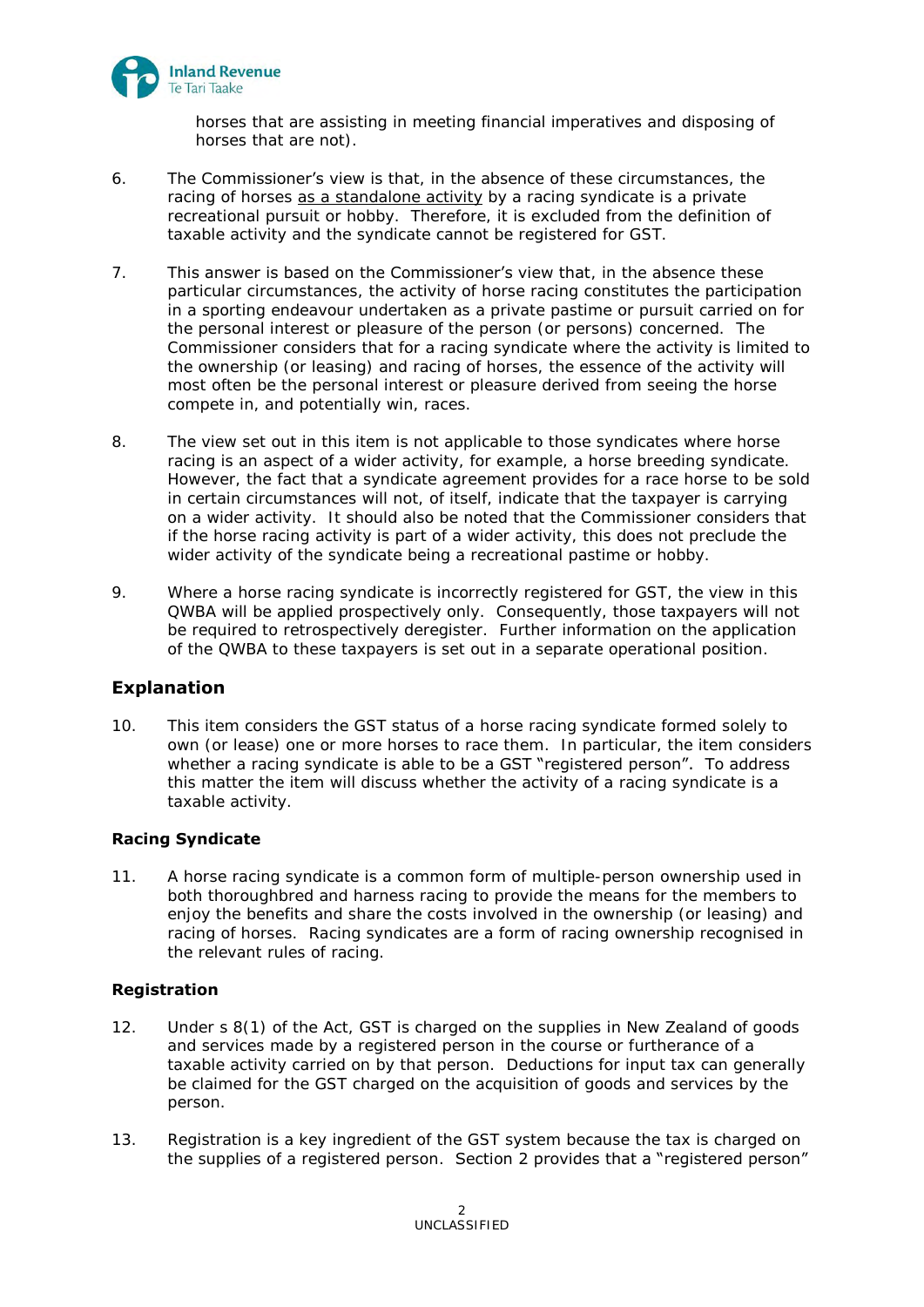

horses that are assisting in meeting financial imperatives and disposing of horses that are not).

- 6. The Commissioner's view is that, in the absence of these circumstances, the racing of horses as a standalone activity by a racing syndicate is a private recreational pursuit or hobby. Therefore, it is excluded from the definition of taxable activity and the syndicate cannot be registered for GST.
- 7. This answer is based on the Commissioner's view that, in the absence these particular circumstances, the activity of horse racing constitutes the participation in a sporting endeavour undertaken as a private pastime or pursuit carried on for the personal interest or pleasure of the person (or persons) concerned. The Commissioner considers that for a racing syndicate where the activity is limited to the ownership (or leasing) and racing of horses, the essence of the activity will most often be the personal interest or pleasure derived from seeing the horse compete in, and potentially win, races.
- 8. The view set out in this item is not applicable to those syndicates where horse racing is an aspect of a wider activity, for example, a horse breeding syndicate. However, the fact that a syndicate agreement provides for a race horse to be sold in certain circumstances will not, of itself, indicate that the taxpayer is carrying on a wider activity. It should also be noted that the Commissioner considers that if the horse racing activity is part of a wider activity, this does not preclude the wider activity of the syndicate being a recreational pastime or hobby.
- 9. Where a horse racing syndicate is incorrectly registered for GST, the view in this QWBA will be applied prospectively only. Consequently, those taxpayers will not be required to retrospectively deregister. Further information on the application of the QWBA to these taxpayers is set out in a separate operational position.

## **Explanation**

10. This item considers the GST status of a horse racing syndicate formed solely to own (or lease) one or more horses to race them. In particular, the item considers whether a racing syndicate is able to be a GST "registered person". To address this matter the item will discuss whether the activity of a racing syndicate is a taxable activity.

## **Racing Syndicate**

11. A horse racing syndicate is a common form of multiple-person ownership used in both thoroughbred and harness racing to provide the means for the members to enjoy the benefits and share the costs involved in the ownership (or leasing) and racing of horses. Racing syndicates are a form of racing ownership recognised in the relevant rules of racing.

#### **Registration**

- 12. Under s 8(1) of the Act, GST is charged on the supplies in New Zealand of goods and services made by a registered person in the course or furtherance of a taxable activity carried on by that person. Deductions for input tax can generally be claimed for the GST charged on the acquisition of goods and services by the person.
- 13. Registration is a key ingredient of the GST system because the tax is charged on the supplies of a registered person. Section 2 provides that a "registered person"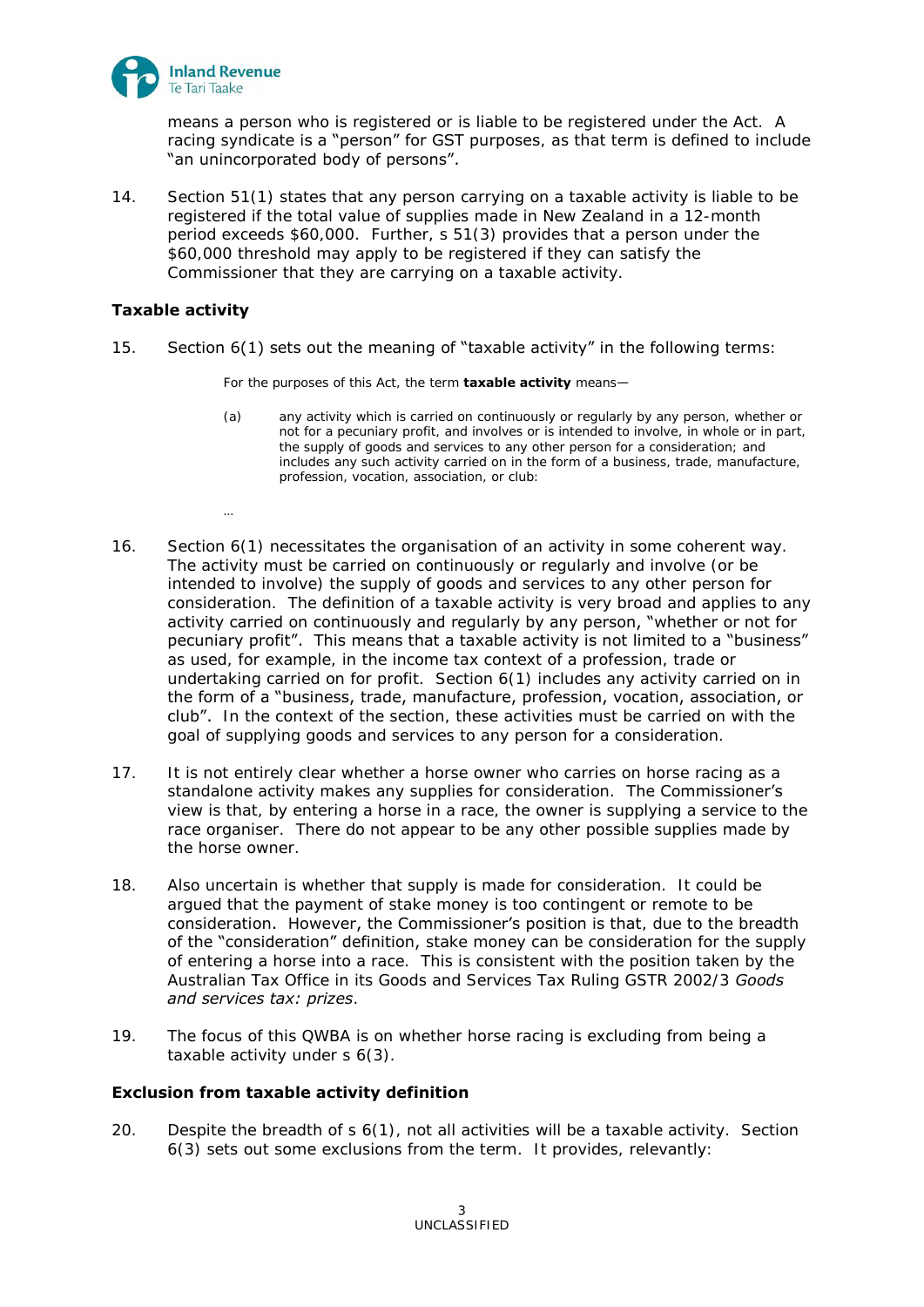

means a person who is registered or is liable to be registered under the Act. A racing syndicate is a "person" for GST purposes, as that term is defined to include "an unincorporated body of persons".

14. Section 51(1) states that any person carrying on a taxable activity is liable to be registered if the total value of supplies made in New Zealand in a 12-month period exceeds \$60,000. Further, s 51(3) provides that a person under the \$60,000 threshold may apply to be registered if they can satisfy the Commissioner that they are carrying on a taxable activity.

## **Taxable activity**

…

15. Section 6(1) sets out the meaning of "taxable activity" in the following terms:

For the purposes of this Act, the term **taxable activity** means—

- (a) any activity which is carried on continuously or regularly by any person, whether or not for a pecuniary profit, and involves or is intended to involve, in whole or in part, the supply of goods and services to any other person for a consideration; and includes any such activity carried on in the form of a business, trade, manufacture, profession, vocation, association, or club:
- 16. Section 6(1) necessitates the organisation of an activity in some coherent way. The activity must be carried on continuously or regularly and involve (or be intended to involve) the supply of goods and services to any other person for consideration. The definition of a taxable activity is very broad and applies to any activity carried on continuously and regularly by any person, "whether or not for pecuniary profit". This means that a taxable activity is not limited to a "business" as used, for example, in the income tax context of a profession, trade or undertaking carried on for profit. Section 6(1) includes any activity carried on in the form of a "business, trade, manufacture, profession, vocation, association, or club". In the context of the section, these activities must be carried on with the goal of supplying goods and services to any person for a consideration.
- 17. It is not entirely clear whether a horse owner who carries on horse racing as a standalone activity makes any supplies for consideration. The Commissioner's view is that, by entering a horse in a race, the owner is supplying a service to the race organiser. There do not appear to be any other possible supplies made by the horse owner.
- 18. Also uncertain is whether that supply is made for consideration. It could be argued that the payment of stake money is too contingent or remote to be consideration. However, the Commissioner's position is that, due to the breadth of the "consideration" definition, stake money can be consideration for the supply of entering a horse into a race. This is consistent with the position taken by the Australian Tax Office in its Goods and Services Tax Ruling GSTR 2002/3 *Goods and services tax: prizes*.
- 19. The focus of this QWBA is on whether horse racing is excluding from being a taxable activity under s 6(3).

## **Exclusion from taxable activity definition**

20. Despite the breadth of s 6(1), not all activities will be a taxable activity. Section 6(3) sets out some exclusions from the term. It provides, relevantly: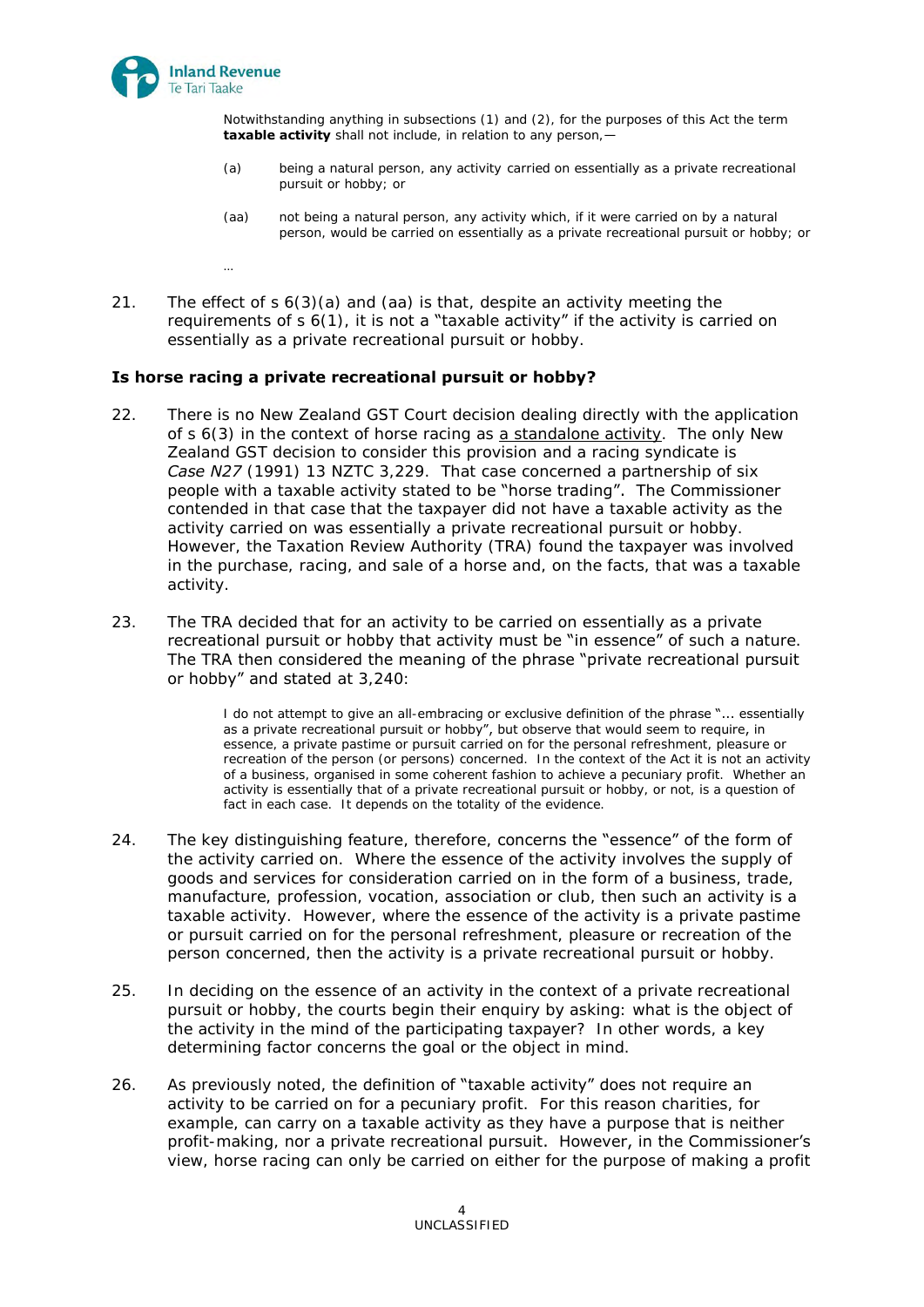

Notwithstanding anything in subsections (1) and (2), for the purposes of this Act the term **taxable activity** shall not include, in relation to any person,-

- (a) being a natural person, any activity carried on essentially as a private recreational pursuit or hobby; or
- (aa) not being a natural person, any activity which, if it were carried on by a natural person, would be carried on essentially as a private recreational pursuit or hobby; or
- …
- 21. The effect of s 6(3)(a) and (aa) is that, despite an activity meeting the requirements of  $s$  6(1), it is not **a** "taxable **activity"** if the activity is carried on essentially as a private recreational pursuit or hobby.

#### **Is horse racing a private recreational pursuit or hobby?**

- 22. There is no New Zealand GST Court decision dealing directly with the application of s 6(3) in the context of horse racing as a standalone activity. The only New Zealand GST decision to consider this provision and a racing syndicate is Case N27 (1991) 13 NZTC 3,229. That case concerned a partnership of six people with a taxable activity stated to be "horse trading". The Commissioner contended in that case that the taxpayer did not have a taxable activity as the activity carried on was essentially a private recreational pursuit or hobby. However, the Taxation Review Authority (TRA) found the taxpayer was involved in the purchase, racing, and sale of a horse and, on the facts, that was a taxable activity.
- 23. The TRA decided that for an activity to be carried on essentially as a private recreational pursuit or hobby that activity must be "in essence" of such a nature. The TRA then considered the meaning of the phrase "private recreational pursuit or hobby" and stated at 3,240:

I do not attempt to give an all-embracing or exclusive definition of the phrase "... essentially as a private recreational pursuit or hobby", but observe that would seem to require, in essence, a private pastime or pursuit carried on for the personal refreshment, pleasure or recreation of the person (or persons) concerned. In the context of the Act it is not an activity of a business, organised in some coherent fashion to achieve a pecuniary profit. Whether an activity is essentially that of a private recreational pursuit or hobby, or not, is a question of fact in each case. It depends on the totality of the evidence.

- 24. The key distinguishing feature, therefore, concerns the "essence" of the form of the activity carried on. Where the essence of the activity involves the supply of goods and services for consideration carried on in the form of a business, trade, manufacture, profession, vocation, association or club, then such an activity is a taxable activity. However, where the essence of the activity is a private pastime or pursuit carried on for the personal refreshment, pleasure or recreation of the person concerned, then the activity is a private recreational pursuit or hobby.
- 25. In deciding on the essence of an activity in the context of a private recreational pursuit or hobby, the courts begin their enquiry by asking: what is the object of the activity in the mind of the participating taxpayer? In other words, a key determining factor concerns the goal or the object in mind.
- 26. As previously noted, the definition of "taxable activity" does not require an activity to be carried on for a pecuniary profit. For this reason charities, for example, can carry on a taxable activity as they have a purpose that is neither profit-making, nor a private recreational pursuit. However, in the Commissioner's view, horse racing can only be carried on either for the purpose of making a profit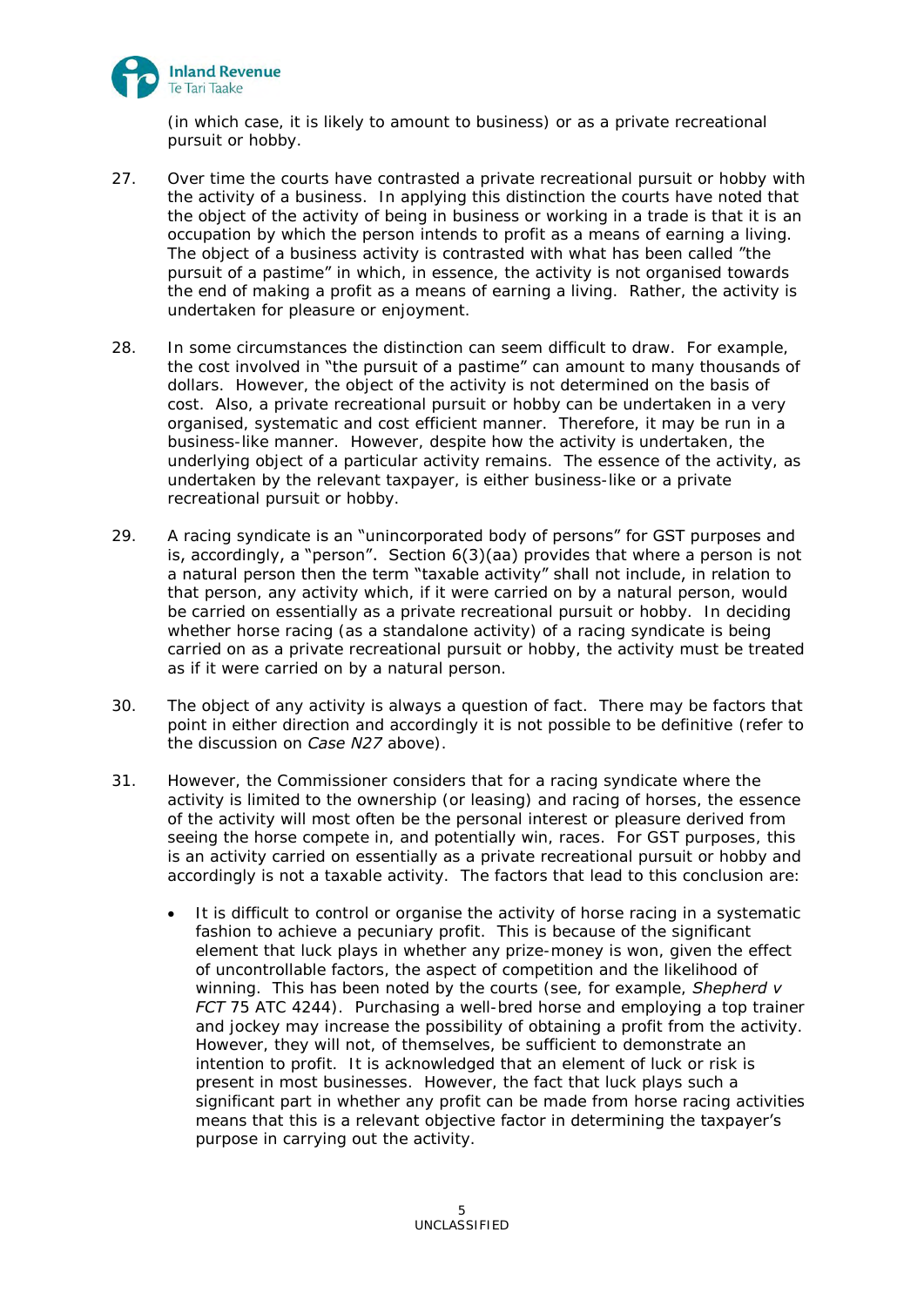

(in which case, it is likely to amount to business) or as a private recreational pursuit or hobby.

- 27. Over time the courts have contrasted a private recreational pursuit or hobby with the activity of a business. In applying this distinction the courts have noted that the object of the activity of being in business or working in a trade is that it is an occupation by which the person intends to profit as a means of earning a living. The object of a business activity is contrasted with what has been called "the pursuit of a pastime" in which, in essence, the activity is not organised towards the end of making a profit as a means of earning a living. Rather, the activity is undertaken for pleasure or enjoyment.
- 28. In some circumstances the distinction can seem difficult to draw. For example, the cost involved in "the pursuit of a pastime" can amount to many thousands of dollars. However, the object of the activity is not determined on the basis of cost. Also, a private recreational pursuit or hobby can be undertaken in a very organised, systematic and cost efficient manner. Therefore, it may be run in a business-like manner. However, despite how the activity is undertaken, the underlying object of a particular activity remains. The essence of the activity, as undertaken by the relevant taxpayer, is either business-like or a private recreational pursuit or hobby.
- 29. A racing syndicate is an "unincorporated body of persons" for GST purposes and is, accordingly, a "person". Section 6(3)(aa) provides that where a person is not a natural person then the term "taxable activity" shall not include, in relation to that person, any activity which, if it were carried on by a natural person, would be carried on essentially as a private recreational pursuit or hobby. In deciding whether horse racing (as a standalone activity) of a racing syndicate is being carried on as a private recreational pursuit or hobby, the activity must be treated as if it were carried on by a natural person.
- 30. The object of any activity is always a question of fact. There may be factors that point in either direction and accordingly it is not possible to be definitive (refer to the discussion on *Case N27* above).
- <span id="page-4-0"></span>31. However, the Commissioner considers that for a racing syndicate where the activity is limited to the ownership (or leasing) and racing of horses, the essence of the activity will most often be the personal interest or pleasure derived from seeing the horse compete in, and potentially win, races. For GST purposes, this is an activity carried on essentially as a private recreational pursuit or hobby and accordingly is not a taxable activity. The factors that lead to this conclusion are:
	- It is difficult to control or organise the activity of horse racing in a systematic fashion to achieve a pecuniary profit. This is because of the significant element that luck plays in whether any prize-money is won, given the effect of uncontrollable factors, the aspect of competition and the likelihood of winning. This has been noted by the courts (see, for example, *Shepherd v FCT* 75 ATC 4244). Purchasing a well-bred horse and employing a top trainer and jockey may increase the possibility of obtaining a profit from the activity. However, they will not, of themselves, be sufficient to demonstrate an intention to profit. It is acknowledged that an element of luck or risk is present in most businesses. However, the fact that luck plays such a significant part in whether any profit can be made from horse racing activities means that this is a relevant objective factor in determining the taxpayer's purpose in carrying out the activity.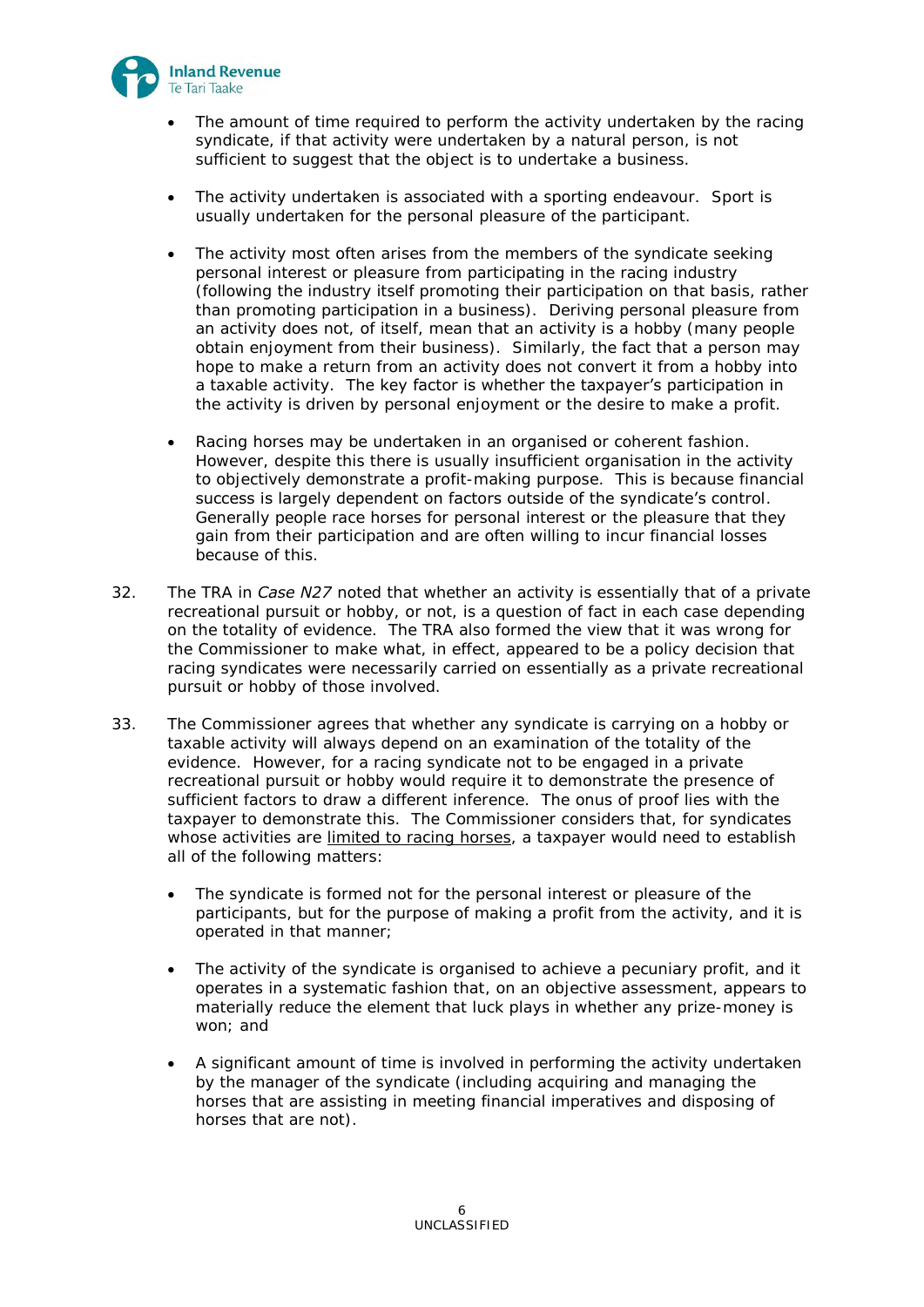

- The amount of time required to perform the activity undertaken by the racing syndicate, if that activity were undertaken by a natural person, is not sufficient to suggest that the object is to undertake a business.
- The activity undertaken is associated with a sporting endeavour. Sport is usually undertaken for the personal pleasure of the participant.
- The activity most often arises from the members of the syndicate seeking personal interest or pleasure from participating in the racing industry (following the industry itself promoting their participation on that basis, rather than promoting participation in a business). Deriving personal pleasure from an activity does not, of itself, mean that an activity is a hobby (many people obtain enjoyment from their business). Similarly, the fact that a person may hope to make a return from an activity does not convert it from a hobby into a taxable activity. The key factor is whether the taxpayer's participation in the activity is driven by personal enjoyment or the desire to make a profit.
- Racing horses may be undertaken in an organised or coherent fashion. However, despite this there is usually insufficient organisation in the activity to objectively demonstrate a profit-making purpose. This is because financial success is largely dependent on factors outside of the syndicate's control. Generally people race horses for personal interest or the pleasure that they gain from their participation and are often willing to incur financial losses because of this.
- 32. The TRA in *Case N27* noted that whether an activity is essentially that of a private recreational pursuit or hobby, or not, is a question of fact in each case depending on the totality of evidence. The TRA also formed the view that it was wrong for the Commissioner to make what, in effect, appeared to be a policy decision that racing syndicates were necessarily carried on essentially as a private recreational pursuit or hobby of those involved.
- <span id="page-5-0"></span>33. The Commissioner agrees that whether any syndicate is carrying on a hobby or taxable activity will always depend on an examination of the totality of the evidence. However, for a racing syndicate not to be engaged in a private recreational pursuit or hobby would require it to demonstrate the presence of sufficient factors to draw a different inference. The onus of proof lies with the taxpayer to demonstrate this. The Commissioner considers that, for syndicates whose activities are limited to racing horses, a taxpayer would need to establish all of the following matters:
	- The syndicate is formed not for the personal interest or pleasure of the participants, but for the purpose of making a profit from the activity, and it is operated in that manner;
	- The activity of the syndicate is organised to achieve a pecuniary profit, and it operates in a systematic fashion that, on an objective assessment, appears to materially reduce the element that luck plays in whether any prize-money is won; and
	- A significant amount of time is involved in performing the activity undertaken by the manager of the syndicate (including acquiring and managing the horses that are assisting in meeting financial imperatives and disposing of horses that are not).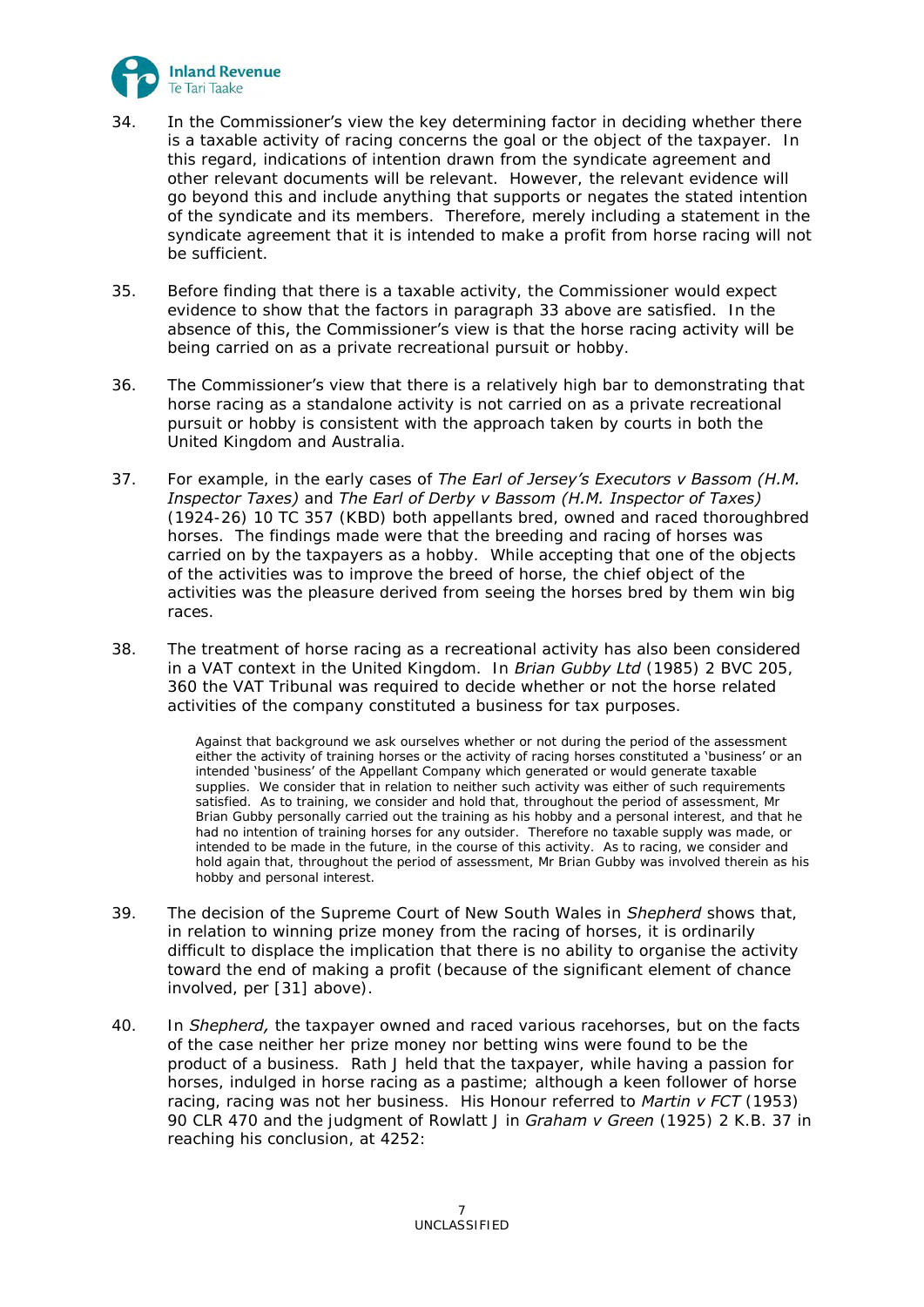

- 34. In the Commissioner's view the key determining factor in deciding whether there is a taxable activity of racing concerns the goal or the object of the taxpayer. In this regard, indications of intention drawn from the syndicate agreement and other relevant documents will be relevant. However, the relevant evidence will go beyond this and include anything that supports or negates the stated intention of the syndicate and its members. Therefore, merely including a statement in the syndicate agreement that it is intended to make a profit from horse racing will not be sufficient.
- 35. Before finding that there is a taxable activity, the Commissioner would expect evidence to show that the factors in paragraph [33](#page-5-0) above are satisfied. In the absence of this, the Commissioner's view is that the horse racing activity will be being carried on as a private recreational pursuit or hobby.
- 36. The Commissioner's view that there is a relatively high bar to demonstrating that horse racing as a standalone activity is not carried on as a private recreational pursuit or hobby is consistent with the approach taken by courts in both the United Kingdom and Australia.
- 37. For example, in the early cases of *The Earl of Jersey's Executors v Bassom (H.M. Inspector Taxes)* and *The Earl of Derby v Bassom (H.M. Inspector of Taxes)* (1924-26) 10 TC 357 (KBD) both appellants bred, owned and raced thoroughbred horses. The findings made were that the breeding and racing of horses was carried on by the taxpayers as a hobby. While accepting that one of the objects of the activities was to improve the breed of horse, the chief object of the activities was the pleasure derived from seeing the horses bred by them win big races.
- 38. The treatment of horse racing as a recreational activity has also been considered in a VAT context in the United Kingdom. In *Brian Gubby Ltd* (1985) 2 BVC 205, 360 the VAT Tribunal was required to decide whether or not the horse related activities of the company constituted a business for tax purposes.

Against that background we ask ourselves whether or not during the period of the assessment either the activity of training horses or the activity of racing horses constituted a 'business' or an intended 'business' of the Appellant Company which generated or would generate taxable supplies. We consider that in relation to neither such activity was either of such requirements satisfied. As to training, we consider and hold that, throughout the period of assessment, Mr Brian Gubby personally carried out the training as his hobby and a personal interest, and that he had no intention of training horses for any outsider. Therefore no taxable supply was made, or intended to be made in the future, in the course of this activity. As to racing, we consider and hold again that, throughout the period of assessment, Mr Brian Gubby was involved therein as his hobby and personal interest.

- 39. The decision of the Supreme Court of New South Wales in *Shepherd* shows that, in relation to winning prize money from the racing of horses, it is ordinarily difficult to displace the implication that there is no ability to organise the activity toward the end of making a profit (because of the significant element of chance involved, per [\[31\]](#page-4-0) above).
- 40. In *Shepherd,* the taxpayer owned and raced various racehorses, but on the facts of the case neither her prize money nor betting wins were found to be the product of a business. Rath J held that the taxpayer, while having a passion for horses, indulged in horse racing as a pastime; although a keen follower of horse racing, racing was not her business. His Honour referred to *Martin v FCT* (1953) 90 CLR 470 and the judgment of Rowlatt J in *Graham v Green* (1925) 2 K.B. 37 in reaching his conclusion, at 4252: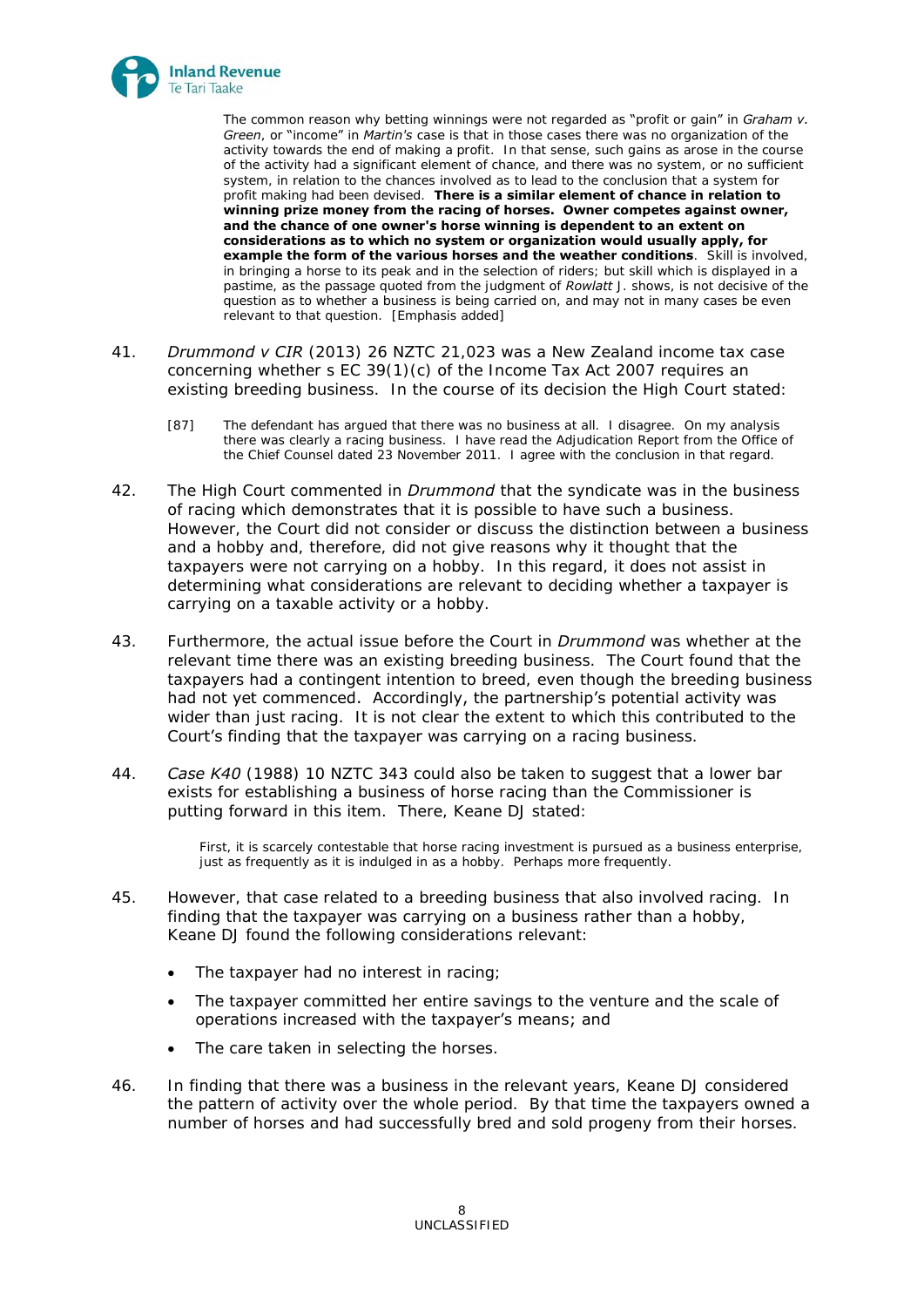

The common reason why betting winnings were not regarded as "profit or gain" in **Graham v.** *Green*, or "income" in *Martin's* case is that in those cases there was no organization of the activity towards the end of making a profit. In that sense, such gains as arose in the course of the activity had a significant element of chance, and there was no system, or no sufficient system, in relation to the chances involved as to lead to the conclusion that a system for profit making had been devised. **There is a similar element of chance in relation to winning prize money from the racing of horses. Owner competes against owner, and the chance of one owner's horse winning is dependent to an extent on considerations as to which no system or organization would usually apply, for example the form of the various horses and the weather conditions**. Skill is involved, in bringing a horse to its peak and in the selection of riders; but skill which is displayed in a pastime, as the passage quoted from the judgment of *Rowlatt* J. shows, is not decisive of the question as to whether a business is being carried on, and may not in many cases be even relevant to that question. [Emphasis added]

- 41. *Drummond v CIR* (2013) 26 NZTC 21,023 was a New Zealand income tax case concerning whether s EC 39(1)(c) of the Income Tax Act 2007 requires an existing breeding business. In the course of its decision the High Court stated:
	- [87] The defendant has argued that there was no business at all. I disagree. On my analysis there was clearly a racing business. I have read the Adjudication Report from the Office of the Chief Counsel dated 23 November 2011. I agree with the conclusion in that regard.
- 42. The High Court commented in *Drummond* that the syndicate was in the business of racing which demonstrates that it is possible to have such a business. However, the Court did not consider or discuss the distinction between a business and a hobby and, therefore, did not give reasons why it thought that the taxpayers were not carrying on a hobby. In this regard, it does not assist in determining what considerations are relevant to deciding whether a taxpayer is carrying on a taxable activity or a hobby.
- 43. Furthermore, the actual issue before the Court in *Drummond* was whether at the relevant time there was an existing breeding business. The Court found that the taxpayers had a contingent intention to breed, even though the breeding business had not yet commenced. Accordingly, the partnership's potential activity was wider than just racing. It is not clear the extent to which this contributed to the Court's finding that the taxpayer was carrying on a racing business.
- 44. *Case K40* (1988) 10 NZTC 343 could also be taken to suggest that a lower bar exists for establishing a business of horse racing than the Commissioner is putting forward in this item. There, Keane DJ stated:

 First, it is scarcely contestable that horse racing investment is pursued as a business enterprise, just as frequently as it is indulged in as a hobby. Perhaps more frequently.

- 45. However, that case related to a breeding business that also involved racing. In finding that the taxpayer was carrying on a business rather than a hobby, Keane DJ found the following considerations relevant:
	- The taxpayer had no interest in racing;
	- The taxpayer committed her entire savings to the venture and the scale of operations increased with the taxpayer's means; and
	- The care taken in selecting the horses.
- 46. In finding that there was a business in the relevant years, Keane DJ considered the pattern of activity over the whole period. By that time the taxpayers owned a number of horses and had successfully bred and sold progeny from their horses.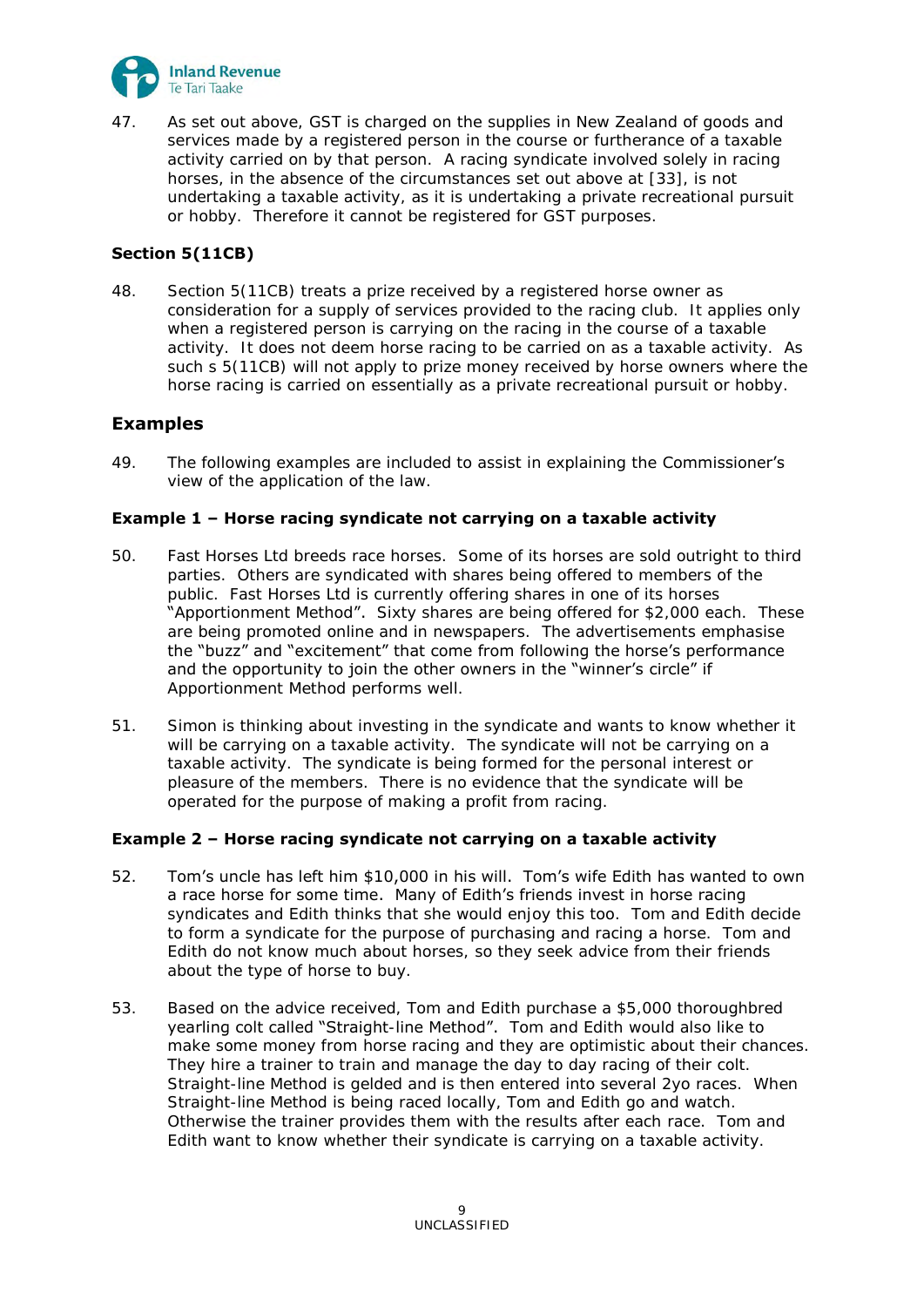

47. As set out above, GST is charged on the supplies in New Zealand of goods and services made by a registered person in the course or furtherance of a taxable activity carried on by that person. A racing syndicate involved solely in racing horses, in the absence of the circumstances set out above at [\[33\]](#page-5-0), is not undertaking a taxable activity, as it is undertaking a private recreational pursuit or hobby. Therefore it cannot be registered for GST purposes.

## **Section 5(11CB)**

48. Section 5(11CB) treats a prize received by a registered horse owner as consideration for a supply of services provided to the racing club. It applies only when a registered person is carrying on the racing in the course of a taxable activity. It does not deem horse racing to be carried on as a taxable activity. As such s 5(11CB) will not apply to prize money received by horse owners where the horse racing is carried on essentially as a private recreational pursuit or hobby.

# **Examples**

49. The following examples are included to assist in explaining the **Commissioner's** view of the application of the law.

## **Example 1 – Horse racing syndicate not carrying on a taxable activity**

- 50. Fast Horses Ltd breeds race horses. Some of its horses are sold outright to third parties. Others are syndicated with shares being offered to members of the public. Fast Horses Ltd is currently offering shares in one of its horses "Apportionment Method". Sixty shares are being offered for \$2,000 each. These are being promoted online and in newspapers. The advertisements emphasise the "buzz" and "excitement" that come from following the horse's performance and the opportunity to join the other owners in the "winner's circle" if Apportionment Method performs well.
- 51. Simon is thinking about investing in the syndicate and wants to know whether it will be carrying on a taxable activity. The syndicate will not be carrying on a taxable activity. The syndicate is being formed for the personal interest or pleasure of the members. There is no evidence that the syndicate will be operated for the purpose of making a profit from racing.

## **Example 2 – Horse racing syndicate not carrying on a taxable activity**

- 52. Tom's uncle has left him \$10,000 in his will. Tom's wife Edith has wanted to own a race horse for some time. Many of Edith's friends invest in horse racing syndicates and Edith thinks that she would enjoy this too. Tom and Edith decide to form a syndicate for the purpose of purchasing and racing a horse. Tom and Edith do not know much about horses, so they seek advice from their friends about the type of horse to buy.
- 53. Based on the advice received, Tom and Edith purchase a \$5,000 thoroughbred yearling colt called "Straight-line Method". Tom and Edith would also like to make some money from horse racing and they are optimistic about their chances. They hire a trainer to train and manage the day to day racing of their colt. Straight-line Method is gelded and is then entered into several 2yo races. When Straight-line Method is being raced locally, Tom and Edith go and watch. Otherwise the trainer provides them with the results after each race. Tom and Edith want to know whether their syndicate is carrying on a taxable activity.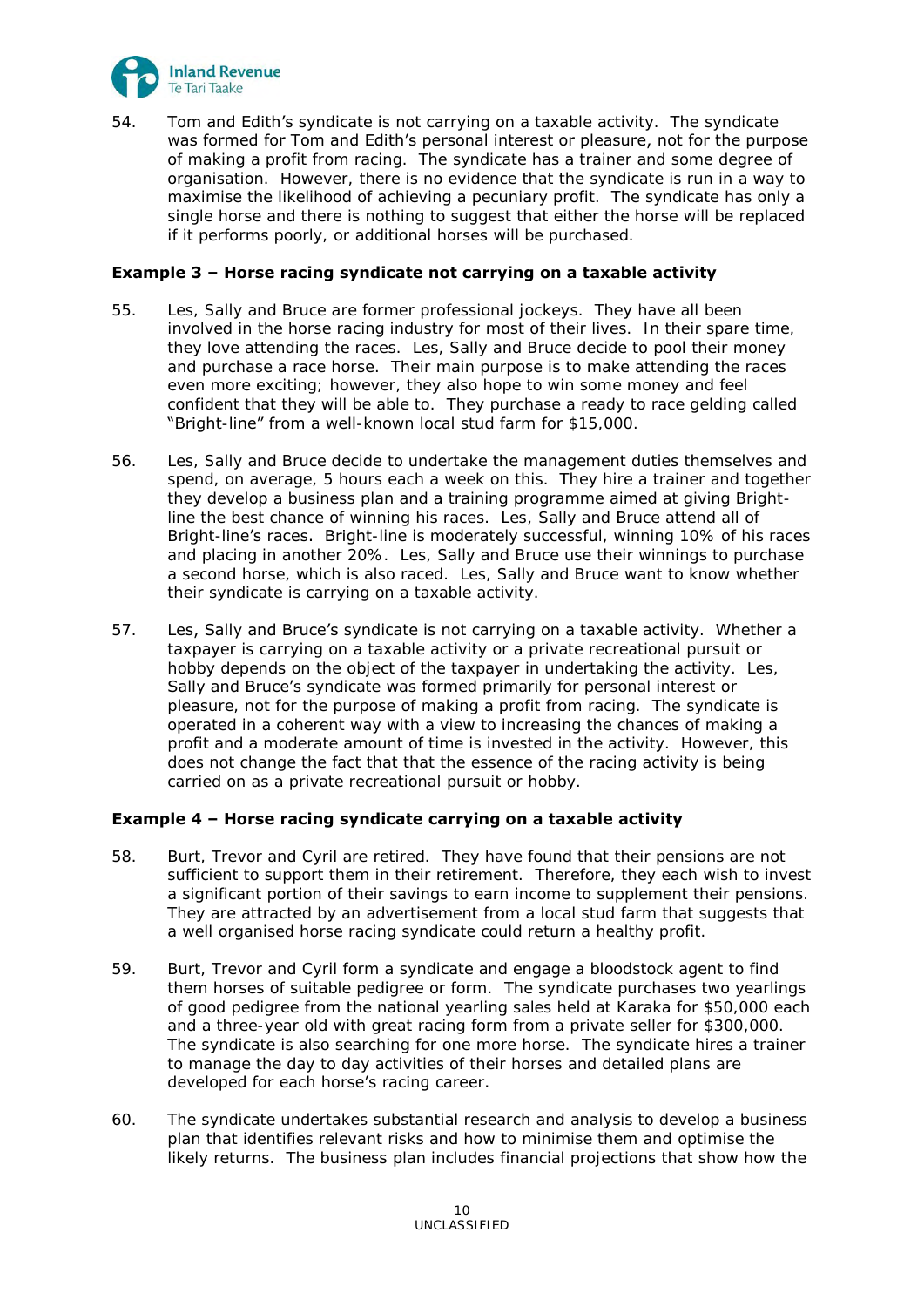

54. Tom and Edith's syndicate is not carrying on a taxable activity. The syndicate was formed for Tom and Edith's personal interest or pleasure, not for the purpose of making a profit from racing. The syndicate has a trainer and some degree of organisation. However, there is no evidence that the syndicate is run in a way to maximise the likelihood of achieving a pecuniary profit. The syndicate has only a single horse and there is nothing to suggest that either the horse will be replaced if it performs poorly, or additional horses will be purchased.

### **Example 3 – Horse racing syndicate not carrying on a taxable activity**

- 55. Les, Sally and Bruce are former professional jockeys. They have all been involved in the horse racing industry for most of their lives. In their spare time, they love attending the races. Les, Sally and Bruce decide to pool their money and purchase a race horse. Their main purpose is to make attending the races even more exciting; however, they also hope to win some money and feel confident that they will be able to. They purchase a ready to race gelding called "Bright-line" from a well-known local stud farm for \$15,000.
- 56. Les, Sally and Bruce decide to undertake the management duties themselves and spend, on average, 5 hours each a week on this. They hire a trainer and together they develop a business plan and a training programme aimed at giving Brightline the best chance of winning his races. Les, Sally and Bruce attend all of Bright-line's races. Bright-line is moderately successful, winning 10% of his races and placing in another 20%. Les, Sally and Bruce use their winnings to purchase a second horse, which is also raced. Les, Sally and Bruce want to know whether their syndicate is carrying on a taxable activity.
- 57. Les, Sally and Bruce's syndicate is not carrying on a taxable activity. Whether a taxpayer is carrying on a taxable activity or a private recreational pursuit or hobby depends on the object of the taxpayer in undertaking the activity. Les, Sally and Bruce's syndicate was formed primarily for personal interest or pleasure, not for the purpose of making a profit from racing. The syndicate is operated in a coherent way with a view to increasing the chances of making a profit and a moderate amount of time is invested in the activity. However, this does not change the fact that that the essence of the racing activity is being carried on as a private recreational pursuit or hobby.

#### **Example 4 – Horse racing syndicate carrying on a taxable activity**

- 58. Burt, Trevor and Cyril are retired. They have found that their pensions are not sufficient to support them in their retirement. Therefore, they each wish to invest a significant portion of their savings to earn income to supplement their pensions. They are attracted by an advertisement from a local stud farm that suggests that a well organised horse racing syndicate could return a healthy profit.
- 59. Burt, Trevor and Cyril form a syndicate and engage a bloodstock agent to find them horses of suitable pedigree or form. The syndicate purchases two yearlings of good pedigree from the national yearling sales held at Karaka for \$50,000 each and a three-year old with great racing form from a private seller for \$300,000. The syndicate is also searching for one more horse. The syndicate hires a trainer to manage the day to day activities of their horses and detailed plans are developed for each horse's racing career.
- 60. The syndicate undertakes substantial research and analysis to develop a business plan that identifies relevant risks and how to minimise them and optimise the likely returns. The business plan includes financial projections that show how the